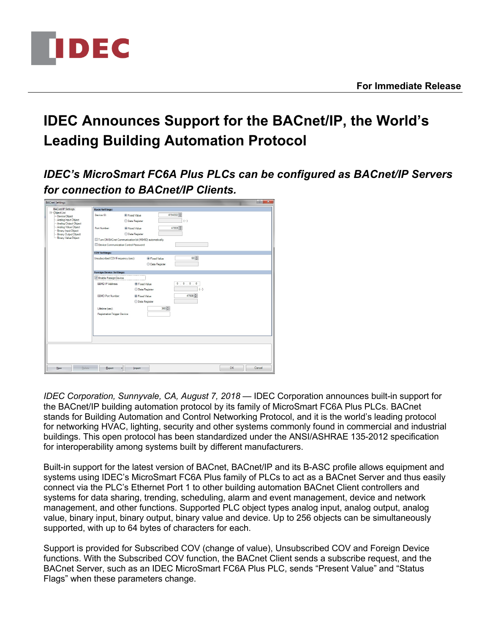

## **IDEC Announces Support for the BACnet/IP, the World's Leading Building Automation Protocol**

*IDEC's MicroSmart FC6A Plus PLCs can be configured as BACnet/IP Servers for connection to BACnet/IP Clients.*

| <b>BACnet/IP Settings</b>                                                                                                                                                                   | <b>Basic Settings:</b>                                                                    |              |
|---------------------------------------------------------------------------------------------------------------------------------------------------------------------------------------------|-------------------------------------------------------------------------------------------|--------------|
| E-Object List<br>- Device Object<br>- Analog Input Object<br>-- Analog Output Object<br>-- Analog Value Object<br>- Binary Input Object<br>-- Binary Output Object<br>- Binary Value Object | 4194302<br>Device ID:<br><b>O</b> Fixed Value<br>$(\cdot)$<br><b>Data Register</b>        |              |
|                                                                                                                                                                                             | 47808<br>Port Number:<br><b>O</b> Fixed Value<br><b>OData Register</b>                    |              |
|                                                                                                                                                                                             | Turn ON BACnet Communication bit (M8450) automatically                                    |              |
|                                                                                                                                                                                             | Device Communication Control Password:                                                    |              |
|                                                                                                                                                                                             | <b>COV Settings:</b>                                                                      |              |
|                                                                                                                                                                                             | 60층<br>Unsubscribed COV Frequency (sec):<br><b>O</b> Fixed Value<br><b>OData Register</b> |              |
|                                                                                                                                                                                             | <b>Foreign Device Settings:</b>                                                           |              |
|                                                                                                                                                                                             | <b>Z</b> Enable Foreign Device                                                            |              |
|                                                                                                                                                                                             | 0.0.0.0.0<br>BBMD IP Address:<br><b>O</b> Fixed Value<br>$(-)$<br><b>Data Register</b>    |              |
|                                                                                                                                                                                             | 47808<br><b>BBMD Port Number:</b><br><b>I</b> Fixed Value<br><b>OData Register</b>        |              |
|                                                                                                                                                                                             | 360号<br>Lifetime (sec):<br><b>Registration Trigger Device:</b>                            |              |
|                                                                                                                                                                                             |                                                                                           |              |
|                                                                                                                                                                                             |                                                                                           |              |
|                                                                                                                                                                                             |                                                                                           |              |
|                                                                                                                                                                                             |                                                                                           |              |
| Delete<br>New                                                                                                                                                                               | Export<br>Import                                                                          | OK<br>Cancel |

*IDEC Corporation, Sunnyvale, CA, August 7, 2018* — IDEC Corporation announces built-in support for the BACnet/IP building automation protocol by its family of MicroSmart FC6A Plus PLCs. BACnet stands for Building Automation and Control Networking Protocol, and it is the world's leading protocol for networking HVAC, lighting, security and other systems commonly found in commercial and industrial buildings. This open protocol has been standardized under the ANSI/ASHRAE 135-2012 specification for interoperability among systems built by different manufacturers.

Built-in support for the latest version of BACnet, BACnet/IP and its B-ASC profile allows equipment and systems using IDEC's MicroSmart FC6A Plus family of PLCs to act as a BACnet Server and thus easily connect via the PLC's Ethernet Port 1 to other building automation BACnet Client controllers and systems for data sharing, trending, scheduling, alarm and event management, device and network management, and other functions. Supported PLC object types analog input, analog output, analog value, binary input, binary output, binary value and device. Up to 256 objects can be simultaneously supported, with up to 64 bytes of characters for each.

Support is provided for Subscribed COV (change of value), Unsubscribed COV and Foreign Device functions. With the Subscribed COV function, the BACnet Client sends a subscribe request, and the BACnet Server, such as an IDEC MicroSmart FC6A Plus PLC, sends "Present Value" and "Status Flags" when these parameters change.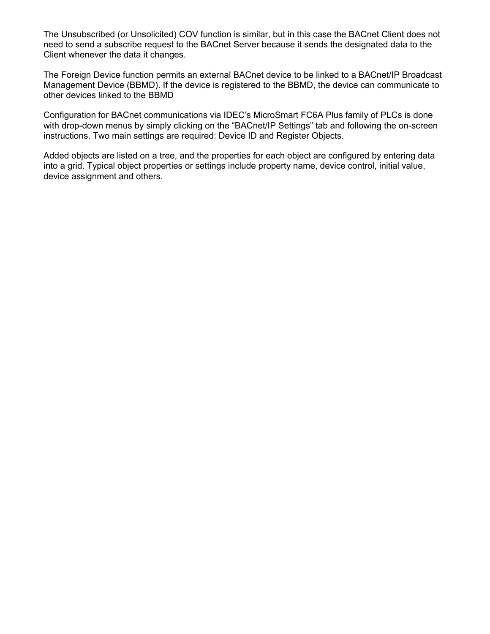The Unsubscribed (or Unsolicited) COV function is similar, but in this case the BACnet Client does not need to send a subscribe request to the BACnet Server because it sends the designated data to the Client whenever the data it changes.

The Foreign Device function permits an external BACnet device to be linked to a BACnet/IP Broadcast Management Device (BBMD). If the device is registered to the BBMD, the device can communicate to other devices linked to the BBMD

Configuration for BACnet communications via IDEC's MicroSmart FC6A Plus family of PLCs is done with drop-down menus by simply clicking on the "BACnet/IP Settings" tab and following the on-screen instructions. Two main settings are required: Device ID and Register Objects.

Added objects are listed on a tree, and the properties for each object are configured by entering data into a grid. Typical object properties or settings include property name, device control, initial value, device assignment and others.